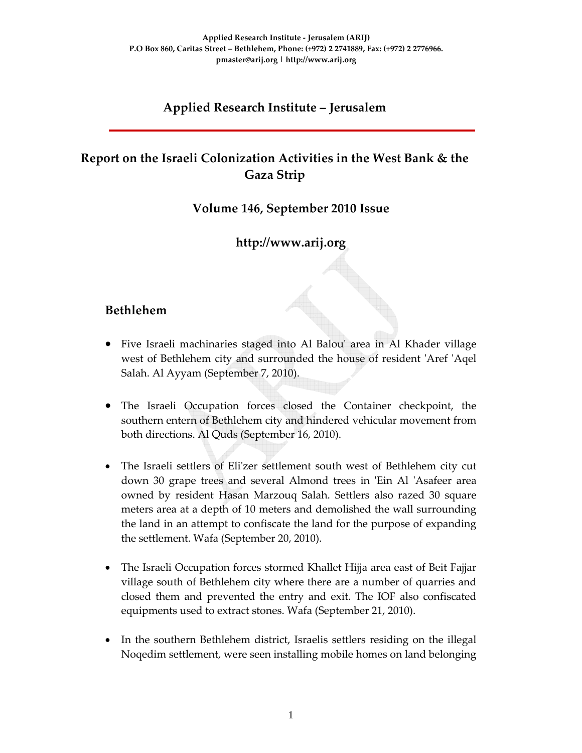## **Applied Research Institute – Jerusalem**

# **Report on the Israeli Colonization Activities in the West Bank & the Gaza Strip**

#### **Volume 146, September 2010 Issue**

## **http://www.arij.org**

## **Bethlehem**

- Five Israeli machinaries staged into Al Balouʹ area in Al Khader village west of Bethlehem city and surrounded the house of resident 'Aref 'Aqel Salah. Al Ayyam (September 7, 2010).
- The Israeli Occupation forces closed the Container checkpoint, the southern entern of Bethlehem city and hindered vehicular movement from both directions. Al Quds (September 16, 2010).
- The Israeli settlers of Eli'zer settlement south west of Bethlehem city cut down 30 grape trees and several Almond trees in 'Ein Al 'Asafeer area owned by resident Hasan Marzouq Salah. Settlers also razed 30 square meters area at a depth of 10 meters and demolished the wall surrounding the land in an attempt to confiscate the land for the purpose of expanding the settlement. Wafa (September 20, 2010).
- The Israeli Occupation forces stormed Khallet Hijja area east of Beit Fajjar village south of Bethlehem city where there are a number of quarries and closed them and prevented the entry and exit. The IOF also confiscated equipments used to extract stones. Wafa (September 21, 2010).
- In the southern Bethlehem district, Israelis settlers residing on the illegal Noqedim settlement, were seen installing mobile homes on land belonging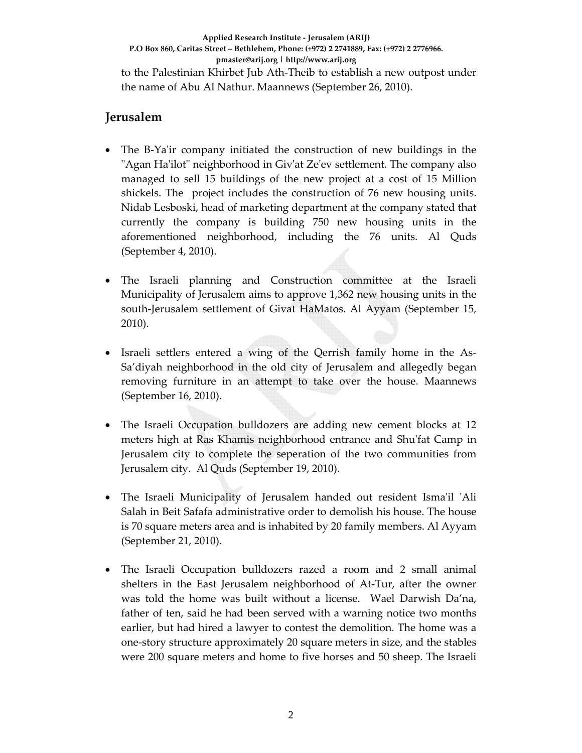**Applied Research Institute ‐ Jerusalem (ARIJ) P.O Box 860, Caritas Street – Bethlehem, Phone: (+972) 2 2741889, Fax: (+972) 2 2776966. pmaster@arij.org | http://www.arij.org** to the Palestinian Khirbet Jub Ath‐Theib to establish a new outpost under the name of Abu Al Nathur. Maannews (September 26, 2010).

#### **Jerusalem**

- The B–Ya'ir company initiated the construction of new buildings in the "Agan Ha'ilot" neighborhood in Giv'at Ze'ev settlement. The company also managed to sell 15 buildings of the new project at a cost of 15 Million shickels. The project includes the construction of 76 new housing units. Nidab Lesboski, head of marketing department at the company stated that currently the company is building 750 new housing units in the aforementioned neighborhood, including the 76 units. Al Quds (September 4, 2010).
- The Israeli planning and Construction committee at the Israeli Municipality of Jerusalem aims to approve 1,362 new housing units in the south-Jerusalem settlement of Givat HaMatos. Al Ayyam (September 15, 2010).
- Israeli settlers entered a wing of the Qerrish family home in the As-Sa'diyah neighborhood in the old city of Jerusalem and allegedly began removing furniture in an attempt to take over the house. Maannews (September 16, 2010).
- The Israeli Occupation bulldozers are adding new cement blocks at 12 meters high at Ras Khamis neighborhood entrance and Shuʹfat Camp in Jerusalem city to complete the seperation of the two communities from Jerusalem city. Al Quds (September 19, 2010).
- The Israeli Municipality of Jerusalem handed out resident Isma'il 'Ali Salah in Beit Safafa administrative order to demolish his house. The house is 70 square meters area and is inhabited by 20 family members. Al Ayyam (September 21, 2010).
- The Israeli Occupation bulldozers razed a room and 2 small animal shelters in the East Jerusalem neighborhood of At‐Tur, after the owner was told the home was built without a license. Wael Darwish Da'na, father of ten, said he had been served with a warning notice two months earlier, but had hired a lawyer to contest the demolition. The home was a one‐story structure approximately 20 square meters in size, and the stables were 200 square meters and home to five horses and 50 sheep. The Israeli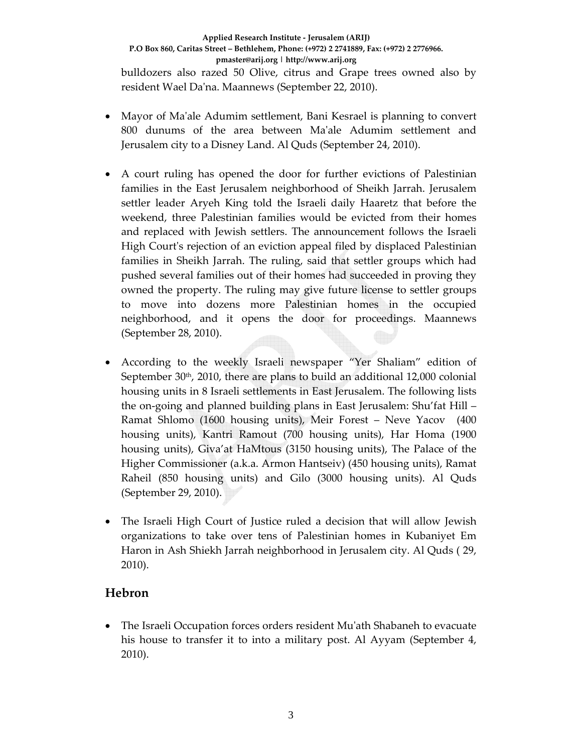#### **Applied Research Institute ‐ Jerusalem (ARIJ) P.O Box 860, Caritas Street – Bethlehem, Phone: (+972) 2 2741889, Fax: (+972) 2 2776966. pmaster@arij.org | http://www.arij.org** bulldozers also razed 50 Olive, citrus and Grape trees owned also by resident Wael Daʹna. Maannews (September 22, 2010).

- Mayor of Ma'ale Adumim settlement, Bani Kesrael is planning to convert 800 dunums of the area between Maʹale Adumim settlement and Jerusalem city to a Disney Land. Al Quds (September 24, 2010).
- A court ruling has opened the door for further evictions of Palestinian families in the East Jerusalem neighborhood of Sheikh Jarrah. Jerusalem settler leader Aryeh King told the Israeli daily Haaretz that before the weekend, three Palestinian families would be evicted from their homes and replaced with Jewish settlers. The announcement follows the Israeli High Court's rejection of an eviction appeal filed by displaced Palestinian families in Sheikh Jarrah. The ruling, said that settler groups which had pushed several families out of their homes had succeeded in proving they owned the property. The ruling may give future license to settler groups to move into dozens more Palestinian homes in the occupied neighborhood, and it opens the door for proceedings. Maannews (September 28, 2010).
- According to the weekly Israeli newspaper "Yer Shaliam" edition of September  $30<sup>th</sup>$ , 2010, there are plans to build an additional 12,000 colonial housing units in 8 Israeli settlements in East Jerusalem. The following lists the on‐going and planned building plans in East Jerusalem: Shu'fat Hill – Ramat Shlomo (1600 housing units), Meir Forest – Neve Yacov (400 housing units), Kantri Ramout (700 housing units), Har Homa (1900 housing units), Giva'at HaMtous (3150 housing units), The Palace of the Higher Commissioner (a.k.a. Armon Hantseiv) (450 housing units), Ramat Raheil (850 housing units) and Gilo (3000 housing units). Al Quds (September 29, 2010).
- The Israeli High Court of Justice ruled a decision that will allow Jewish organizations to take over tens of Palestinian homes in Kubaniyet Em Haron in Ash Shiekh Jarrah neighborhood in Jerusalem city. Al Quds ( 29, 2010).

## **Hebron**

• The Israeli Occupation forces orders resident Mu'ath Shabaneh to evacuate his house to transfer it to into a military post. Al Ayyam (September 4, 2010).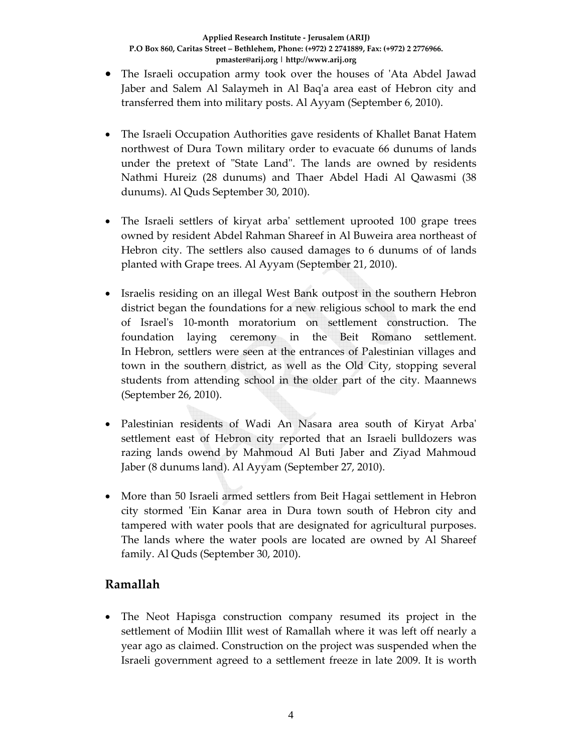- The Israeli occupation army took over the houses of 'Ata Abdel Jawad Jaber and Salem Al Salaymeh in Al Baq'a area east of Hebron city and transferred them into military posts. Al Ayyam (September 6, 2010).
- The Israeli Occupation Authorities gave residents of Khallet Banat Hatem northwest of Dura Town military order to evacuate 66 dunums of lands under the pretext of "State Land". The lands are owned by residents Nathmi Hureiz (28 dunums) and Thaer Abdel Hadi Al Qawasmi (38 dunums). Al Quds September 30, 2010).
- The Israeli settlers of kiryat arba' settlement uprooted 100 grape trees owned by resident Abdel Rahman Shareef in Al Buweira area northeast of Hebron city. The settlers also caused damages to 6 dunums of of lands planted with Grape trees. Al Ayyam (September 21, 2010).
- Israelis residing on an illegal West Bank outpost in the southern Hebron district began the foundations for a new religious school to mark the end of Israelʹs 10‐month moratorium on settlement construction. The foundation laying ceremony in the Beit Romano settlement. In Hebron, settlers were seen at the entrances of Palestinian villages and town in the southern district, as well as the Old City, stopping several students from attending school in the older part of the city. Maannews (September 26, 2010).
- Palestinian residents of Wadi An Nasara area south of Kiryat Arbaʹ settlement east of Hebron city reported that an Israeli bulldozers was razing lands owend by Mahmoud Al Buti Jaber and Ziyad Mahmoud Jaber (8 dunums land). Al Ayyam (September 27, 2010).
- More than 50 Israeli armed settlers from Beit Hagai settlement in Hebron city stormed ʹEin Kanar area in Dura town south of Hebron city and tampered with water pools that are designated for agricultural purposes. The lands where the water pools are located are owned by Al Shareef family. Al Quds (September 30, 2010).

## **Ramallah**

• The Neot Hapisga construction company resumed its project in the settlement of Modiin Illit west of Ramallah where it was left off nearly a year ago as claimed. Construction on the project was suspended when the Israeli government agreed to a settlement freeze in late 2009. It is worth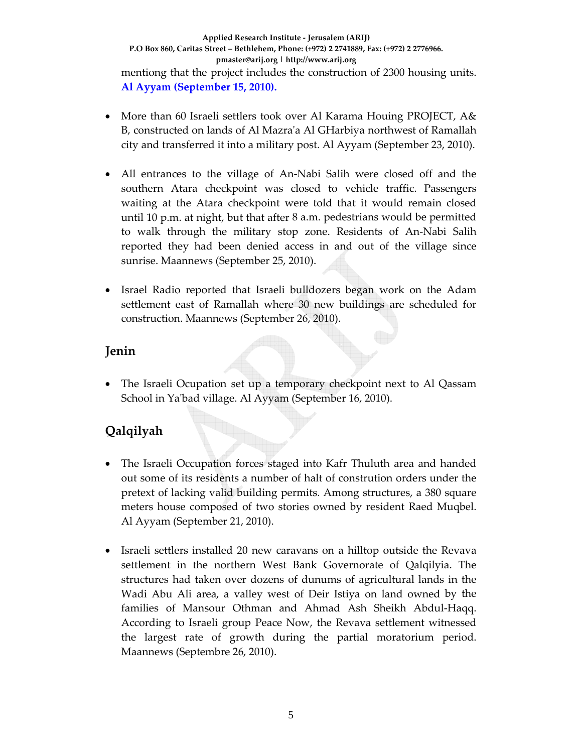- More than 60 Israeli settlers took over Al Karama Houing PROJECT, A& B, constructed on lands of Al Mazraʹa Al GHarbiya northwest of Ramallah city and transferred it into a military post. Al Ayyam (September 23, 2010).
- All entrances to the village of An-Nabi Salih were closed off and the southern Atara checkpoint was closed to vehicle traffic. Passengers waiting at the Atara checkpoint were told that it would remain closed until 10 p.m. at night, but that after 8 a.m. pedestrians would be permitted to walk through the military stop zone. Residents of An‐Nabi Salih reported they had been denied access in and out of the village since sunrise. Maannews (September 25, 2010).
- Israel Radio reported that Israeli bulldozers began work on the Adam settlement east of Ramallah where 30 new buildings are scheduled for construction. Maannews (September 26, 2010).

## **Jenin**

The Israeli Ocupation set up a temporary checkpoint next to Al Qassam School in Yaʹbad village. Al Ayyam (September 16, 2010).

# **Qalqilyah**

- The Israeli Occupation forces staged into Kafr Thuluth area and handed out some of its residents a number of halt of constrution orders under the pretext of lacking valid building permits. Among structures, a 380 square meters house composed of two stories owned by resident Raed Muqbel. Al Ayyam (September 21, 2010).
- Israeli settlers installed 20 new caravans on a hilltop outside the Revava settlement in the northern West Bank Governorate of Qalqilyia. The structures had taken over dozens of dunums of agricultural lands in the Wadi Abu Ali area, a valley west of Deir Istiya on land owned by the families of Mansour Othman and Ahmad Ash Sheikh Abdul-Haqq. According to Israeli group Peace Now, the Revava settlement witnessed the largest rate of growth during the partial moratorium period. Maannews (Septembre 26, 2010).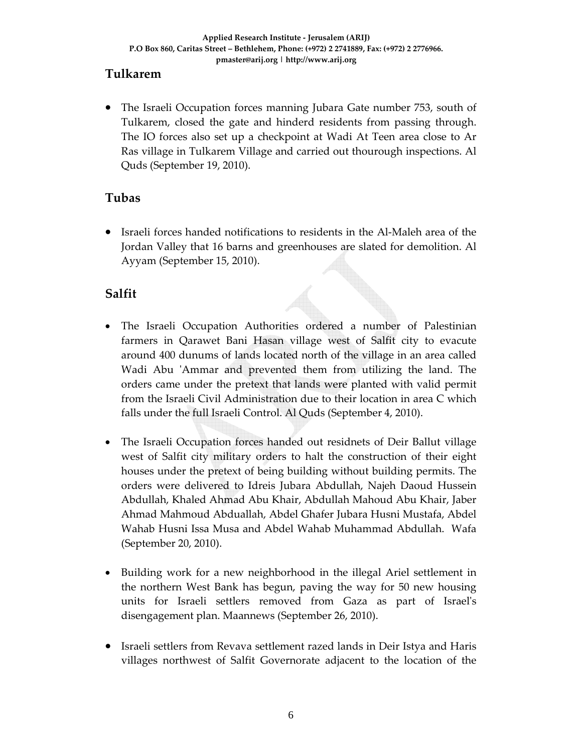## **Tulkarem**

• The Israeli Occupation forces manning Jubara Gate number 753, south of Tulkarem, closed the gate and hinderd residents from passing through. The IO forces also set up a checkpoint at Wadi At Teen area close to Ar Ras village in Tulkarem Village and carried out thourough inspections. Al Quds (September 19, 2010).

## **Tubas**

• Israeli forces handed notifications to residents in the Al‐Maleh area of the Jordan Valley that 16 barns and greenhouses are slated for demolition. Al Ayyam (September 15, 2010).

## **Salfit**

- The Israeli Occupation Authorities ordered a number of Palestinian farmers in Qarawet Bani Hasan village west of Salfit city to evacute around 400 dunums of lands located north of the village in an area called Wadi Abu 'Ammar and prevented them from utilizing the land. The orders came under the pretext that lands were planted with valid permit from the Israeli Civil Administration due to their location in area C which falls under the full Israeli Control. Al Quds (September 4, 2010).
- The Israeli Occupation forces handed out residnets of Deir Ballut village west of Salfit city military orders to halt the construction of their eight houses under the pretext of being building without building permits. The orders were delivered to Idreis Jubara Abdullah, Najeh Daoud Hussein Abdullah, Khaled Ahmad Abu Khair, Abdullah Mahoud Abu Khair, Jaber Ahmad Mahmoud Abduallah, Abdel Ghafer Jubara Husni Mustafa, Abdel Wahab Husni Issa Musa and Abdel Wahab Muhammad Abdullah. Wafa (September 20, 2010).
- Building work for a new neighborhood in the illegal Ariel settlement in the northern West Bank has begun, paving the way for 50 new housing units for Israeli settlers removed from Gaza as part of Israelʹs disengagement plan. Maannews (September 26, 2010).
- Israeli settlers from Revava settlement razed lands in Deir Istya and Haris villages northwest of Salfit Governorate adjacent to the location of the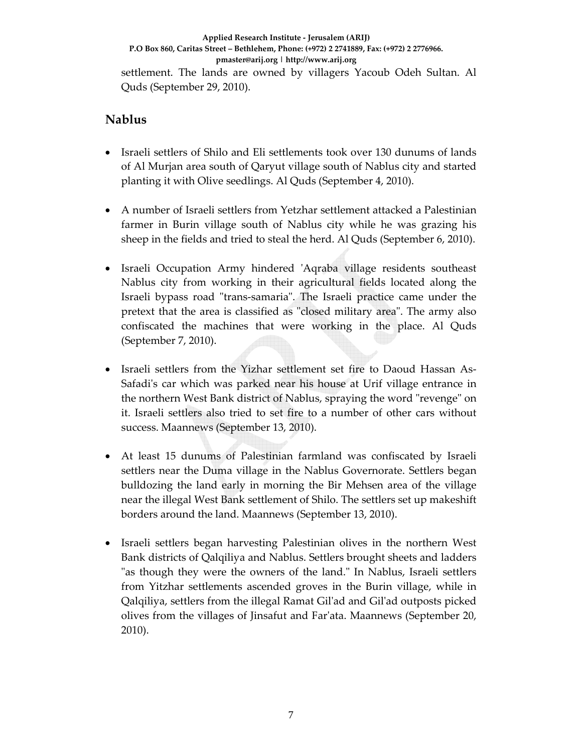settlement. The lands are owned by villagers Yacoub Odeh Sultan. Al Quds (September 29, 2010).

## **Nablus**

- Israeli settlers of Shilo and Eli settlements took over 130 dunums of lands of Al Murjan area south of Qaryut village south of Nablus city and started planting it with Olive seedlings. Al Quds (September 4, 2010).
- A number of Israeli settlers from Yetzhar settlement attacked a Palestinian farmer in Burin village south of Nablus city while he was grazing his sheep in the fields and tried to steal the herd. Al Quds (September 6, 2010).
- Israeli Occupation Army hindered ʹAqraba village residents southeast Nablus city from working in their agricultural fields located along the Israeli bypass road "trans-samaria". The Israeli practice came under the pretext that the area is classified as "closed military area". The army also confiscated the machines that were working in the place. Al Quds (September 7, 2010).
- Israeli settlers from the Yizhar settlement set fire to Daoud Hassan As‐ Safadi's car which was parked near his house at Urif village entrance in the northern West Bank district of Nablus, spraying the word "revenge" on it. Israeli settlers also tried to set fire to a number of other cars without success. Maannews (September 13, 2010).
- At least 15 dunums of Palestinian farmland was confiscated by Israeli settlers near the Duma village in the Nablus Governorate. Settlers began bulldozing the land early in morning the Bir Mehsen area of the village near the illegal West Bank settlement of Shilo. The settlers set up makeshift borders around the land. Maannews (September 13, 2010).
- Israeli settlers began harvesting Palestinian olives in the northern West Bank districts of Qalqiliya and Nablus. Settlers brought sheets and ladders "as though they were the owners of the land." In Nablus, Israeli settlers from Yitzhar settlements ascended groves in the Burin village, while in Qalqiliya, settlers from the illegal Ramat Gilʹad and Gilʹad outposts picked olives from the villages of Jinsafut and Farʹata. Maannews (September 20, 2010).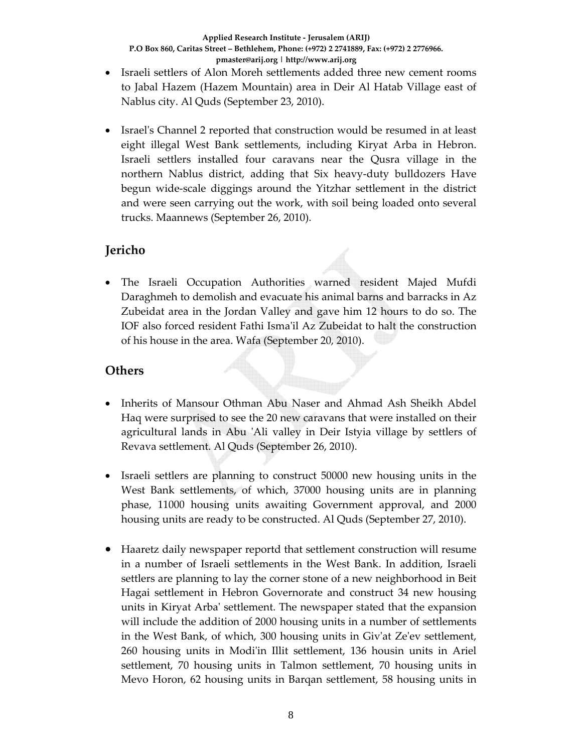- Israeli settlers of Alon Moreh settlements added three new cement rooms to Jabal Hazem (Hazem Mountain) area in Deir Al Hatab Village east of Nablus city. Al Quds (September 23, 2010).
- Israel's Channel 2 reported that construction would be resumed in at least eight illegal West Bank settlements, including Kiryat Arba in Hebron. Israeli settlers installed four caravans near the Qusra village in the northern Nablus district, adding that Six heavy‐duty bulldozers Have begun wide‐scale diggings around the Yitzhar settlement in the district and were seen carrying out the work, with soil being loaded onto several trucks. Maannews (September 26, 2010).

## **Jericho**

• The Israeli Occupation Authorities warned resident Majed Mufdi Daraghmeh to demolish and evacuate his animal barns and barracks in Az Zubeidat area in the Jordan Valley and gave him 12 hours to do so. The IOF also forced resident Fathi Ismaʹil Az Zubeidat to halt the construction of his house in the area. Wafa (September 20, 2010).

## **Others**

- Inherits of Mansour Othman Abu Naser and Ahmad Ash Sheikh Abdel Haq were surprised to see the 20 new caravans that were installed on their agricultural lands in Abu 'Ali valley in Deir Istyia village by settlers of Revava settlement. Al Quds (September 26, 2010).
- Israeli settlers are planning to construct 50000 new housing units in the West Bank settlements, of which, 37000 housing units are in planning phase, 11000 housing units awaiting Government approval, and 2000 housing units are ready to be constructed. Al Quds (September 27, 2010).
- Haaretz daily newspaper reportd that settlement construction will resume in a number of Israeli settlements in the West Bank. In addition, Israeli settlers are planning to lay the corner stone of a new neighborhood in Beit Hagai settlement in Hebron Governorate and construct 34 new housing units in Kiryat Arbaʹ settlement. The newspaper stated that the expansion will include the addition of 2000 housing units in a number of settlements in the West Bank, of which, 300 housing units in Givʹat Zeʹev settlement, 260 housing units in Modiʹin Illit settlement, 136 housin units in Ariel settlement, 70 housing units in Talmon settlement, 70 housing units in Mevo Horon, 62 housing units in Barqan settlement, 58 housing units in